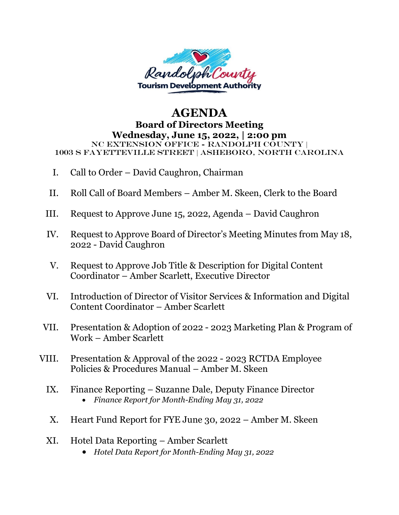

## **AGENDA Board of Directors Meeting Wednesday, June 15, 2022, | 2:00 pm** NC Extension Office - Randolph County | 1003 S Fayetteville Street | Asheboro, North Carolina

- I. Call to Order David Caughron, Chairman
- II. Roll Call of Board Members Amber M. Skeen, Clerk to the Board
- III. Request to Approve June 15, 2022, Agenda David Caughron
- IV. Request to Approve Board of Director's Meeting Minutes from May 18, 2022 - David Caughron
- V. Request to Approve Job Title & Description for Digital Content Coordinator – Amber Scarlett, Executive Director
- VI. Introduction of Director of Visitor Services & Information and Digital Content Coordinator – Amber Scarlett
- VII. Presentation & Adoption of 2022 2023 Marketing Plan & Program of Work – Amber Scarlett
- VIII. Presentation & Approval of the 2022 2023 RCTDA Employee Policies & Procedures Manual – Amber M. Skeen
	- IX. Finance Reporting Suzanne Dale, Deputy Finance Director • *Finance Report for Month-Ending May 31, 2022*
	- X. Heart Fund Report for FYE June 30, 2022 Amber M. Skeen
	- XI. Hotel Data Reporting Amber Scarlett
		- *Hotel Data Report for Month-Ending May 31, 2022*